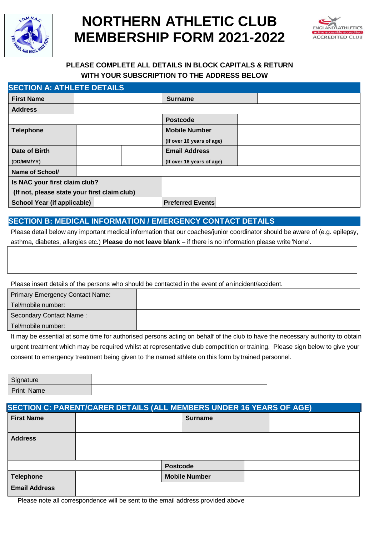

# **NORTHERN ATHLETIC CLUB MEMBERSHIP FORM 2021-2022**



## **PLEASE COMPLETE ALL DETAILS IN BLOCK CAPITALS & RETURN WITH YOUR SUBSCRIPTION TO THE ADDRESS BELOW**

| <b>SECTION A: ATHLETE DETAILS</b>            |  |  |                           |  |  |
|----------------------------------------------|--|--|---------------------------|--|--|
| <b>First Name</b>                            |  |  | <b>Surname</b>            |  |  |
| <b>Address</b>                               |  |  |                           |  |  |
|                                              |  |  | <b>Postcode</b>           |  |  |
| <b>Telephone</b>                             |  |  | <b>Mobile Number</b>      |  |  |
|                                              |  |  | (If over 16 years of age) |  |  |
| Date of Birth                                |  |  | <b>Email Address</b>      |  |  |
| (DD/MM/YY)                                   |  |  | (If over 16 years of age) |  |  |
| Name of School/                              |  |  |                           |  |  |
| Is NAC your first claim club?                |  |  |                           |  |  |
| (If not, please state your first claim club) |  |  |                           |  |  |
| School Year (if applicable)                  |  |  | <b>Preferred Events</b>   |  |  |

## **SECTION B: MEDICAL INFORMATION / EMERGENCY CONTACT DETAILS**

Please detail below any important medical information that our coaches/junior coordinator should be aware of (e.g. epilepsy, asthma, diabetes, allergies etc.) **Please do not leave blank** – if there is no information please write 'None'.

Please insert details of the persons who should be contacted in the event of anincident/accident.

| <b>Primary Emergency Contact Name:</b> |  |
|----------------------------------------|--|
| Tel/mobile number:                     |  |
| Secondary Contact Name:                |  |
| Tel/mobile number:                     |  |

It may be essential at some time for authorised persons acting on behalf of the club to have the necessary authority to obtain urgent treatment which may be required whilst at representative club competition or training. Please sign below to give your consent to emergency treatment being given to the named athlete on this form by trained personnel.

| Signature         |  |
|-------------------|--|
| <b>Print Name</b> |  |

| <b>SECTION C: PARENT/CARER DETAILS (ALL MEMBERS UNDER 16 YEARS OF AGE)</b> |                 |                      |  |
|----------------------------------------------------------------------------|-----------------|----------------------|--|
| <b>First Name</b>                                                          |                 | <b>Surname</b>       |  |
| <b>Address</b>                                                             |                 |                      |  |
|                                                                            | <b>Postcode</b> |                      |  |
| <b>Telephone</b>                                                           |                 | <b>Mobile Number</b> |  |
| <b>Email Address</b>                                                       |                 |                      |  |

Please note all correspondence will be sent to the email address provided above